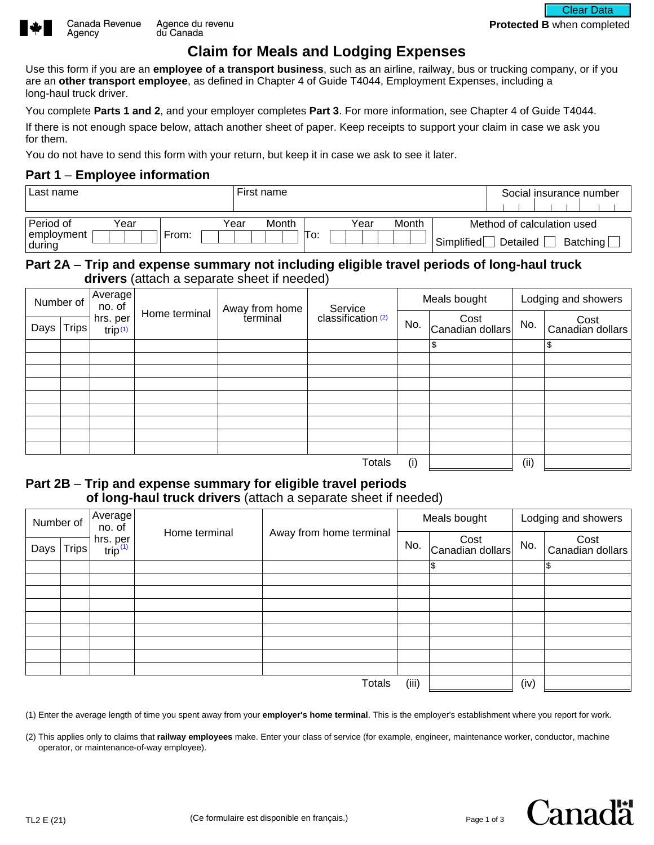

Agency

# **Claim for Meals and Lodging Expenses**

Use this form if you are an **employee of a transport business**, such as an airline, railway, bus or trucking company, or if you are an **other transport employee**, as defined in Chapter 4 of Guide T4044, Employment Expenses, including a long-haul truck driver.

You complete **Parts 1 and 2**, and your employer completes **Part 3**. For more information, see Chapter 4 of Guide T4044.

If there is not enough space below, attach another sheet of paper. Keep receipts to support your claim in case we ask you for them.

You do not have to send this form with your return, but keep it in case we ask to see it later.

#### **Part 1** – **Employee information**

| Last name                                   |       | First name    |     |      |       |            | Social insurance number                                      |
|---------------------------------------------|-------|---------------|-----|------|-------|------------|--------------------------------------------------------------|
| Period of<br>Year<br>employment<br>  during | ⊢rom: | Month<br>Year | lo: | Year | Month | Simplified | Method of calculation used<br>Detailed<br>Batching $\lfloor$ |

### **Part 2A** – **Trip and expense summary not including eligible travel periods of long-haul truck drivers** (attach a separate sheet if needed)

|      | Number of | Average<br>no. of               |               | Away from home |                                          | Meals bought |                          | Lodging and showers |                          |  |
|------|-----------|---------------------------------|---------------|----------------|------------------------------------------|--------------|--------------------------|---------------------|--------------------------|--|
| Days | Trips     | hrs. per<br>trip <sub>(1)</sub> | Home terminal | terminal       | Service<br>classification <sup>(2)</sup> | No.          | Cost<br>Canadian dollars | No.                 | Cost<br>Canadian dollars |  |
|      |           |                                 |               |                |                                          |              | \$                       |                     | \$                       |  |
|      |           |                                 |               |                |                                          |              |                          |                     |                          |  |
|      |           |                                 |               |                |                                          |              |                          |                     |                          |  |
|      |           |                                 |               |                |                                          |              |                          |                     |                          |  |
|      |           |                                 |               |                |                                          |              |                          |                     |                          |  |
|      |           |                                 |               |                |                                          |              |                          |                     |                          |  |
|      |           |                                 |               |                |                                          |              |                          |                     |                          |  |
|      |           |                                 |               |                |                                          |              |                          |                     |                          |  |
|      |           |                                 |               |                |                                          |              |                          |                     |                          |  |
|      |           |                                 |               |                | <b>Totals</b>                            | (i)          |                          | (ii)                |                          |  |

## **Part 2B** – **Trip and expense summary for eligible travel periods of long-haul truck drivers** (attach a separate sheet if needed)

| Number of |              | Average<br>no. of                                         |               |                         |       | Meals bought                       |      | Lodging and showers      |  |  |
|-----------|--------------|-----------------------------------------------------------|---------------|-------------------------|-------|------------------------------------|------|--------------------------|--|--|
| Days      | <b>Trips</b> | hrs. per<br>$\frac{\text{trip}^{(1)}}{\text{trip}^{(1)}}$ | Home terminal | Away from home terminal | No.   | $\vert$ Cost Cost Canadian dollars | No.  | Cost<br>Canadian dollars |  |  |
|           |              |                                                           |               |                         |       | l\$                                |      | l\$                      |  |  |
|           |              |                                                           |               |                         |       |                                    |      |                          |  |  |
|           |              |                                                           |               |                         |       |                                    |      |                          |  |  |
|           |              |                                                           |               |                         |       |                                    |      |                          |  |  |
|           |              |                                                           |               |                         |       |                                    |      |                          |  |  |
|           |              |                                                           |               |                         |       |                                    |      |                          |  |  |
|           |              |                                                           |               |                         |       |                                    |      |                          |  |  |
|           |              |                                                           |               |                         |       |                                    |      |                          |  |  |
|           |              |                                                           |               |                         |       |                                    |      |                          |  |  |
|           |              |                                                           |               | <b>Totals</b>           | (iii) |                                    | (iv) |                          |  |  |

(1) Enter the average length of time you spent away from your **employer's home terminal**. This is the employer's establishment where you report for work.

(2) This applies only to claims that **railway employees** make. Enter your class of service (for example, engineer, maintenance worker, conductor, machine operator, or maintenance-of-way employee).



**Protected B** when completed

Clear Data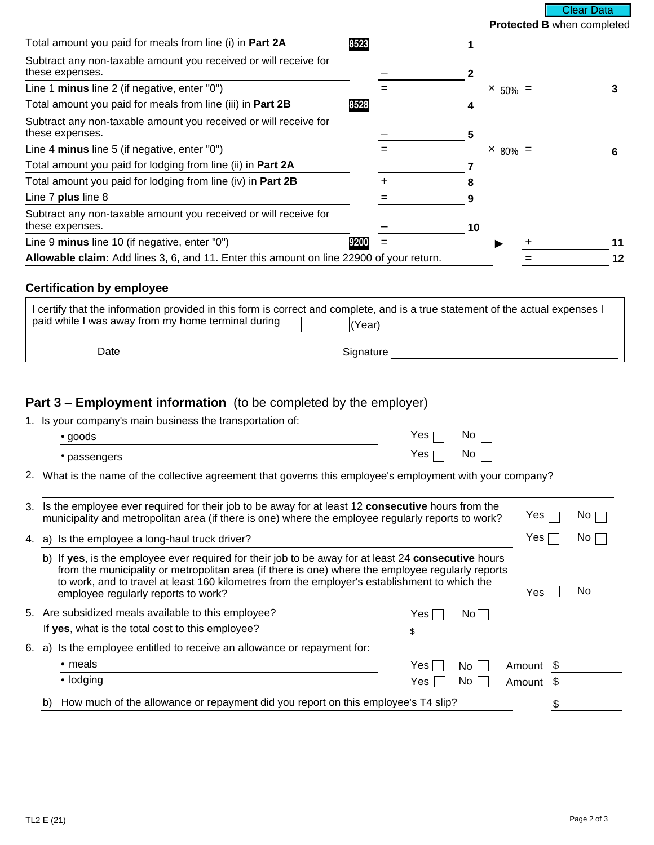**Protected B** when completed Clear Data

| Subtract any non-taxable amount you received or will receive for<br>these expenses.<br>Line 1 minus line 2 (if negative, enter "0")<br>$\times 50\% =$<br>Total amount you paid for meals from line (iii) in Part 2B<br>8528<br>Subtract any non-taxable amount you received or will receive for<br>these expenses.<br>Line 4 minus line 5 (if negative, enter "0")<br>$\times 80\% =$<br>Total amount you paid for lodging from line (ii) in Part 2A<br>Total amount you paid for lodging from line (iv) in Part 2B<br>Line 7 plus line 8<br>Subtract any non-taxable amount you received or will receive for<br>these expenses.<br>10<br>Line 9 minus line 10 (if negative, enter "0")<br>9200<br>Allowable claim: Add lines 3, 6, and 11. Enter this amount on line 22900 of your return. | Total amount you paid for meals from line (i) in Part 2A | 8523 |  |  |    |
|----------------------------------------------------------------------------------------------------------------------------------------------------------------------------------------------------------------------------------------------------------------------------------------------------------------------------------------------------------------------------------------------------------------------------------------------------------------------------------------------------------------------------------------------------------------------------------------------------------------------------------------------------------------------------------------------------------------------------------------------------------------------------------------------|----------------------------------------------------------|------|--|--|----|
|                                                                                                                                                                                                                                                                                                                                                                                                                                                                                                                                                                                                                                                                                                                                                                                              |                                                          |      |  |  |    |
|                                                                                                                                                                                                                                                                                                                                                                                                                                                                                                                                                                                                                                                                                                                                                                                              |                                                          |      |  |  |    |
|                                                                                                                                                                                                                                                                                                                                                                                                                                                                                                                                                                                                                                                                                                                                                                                              |                                                          |      |  |  |    |
|                                                                                                                                                                                                                                                                                                                                                                                                                                                                                                                                                                                                                                                                                                                                                                                              |                                                          |      |  |  |    |
|                                                                                                                                                                                                                                                                                                                                                                                                                                                                                                                                                                                                                                                                                                                                                                                              |                                                          |      |  |  |    |
|                                                                                                                                                                                                                                                                                                                                                                                                                                                                                                                                                                                                                                                                                                                                                                                              |                                                          |      |  |  |    |
|                                                                                                                                                                                                                                                                                                                                                                                                                                                                                                                                                                                                                                                                                                                                                                                              |                                                          |      |  |  |    |
|                                                                                                                                                                                                                                                                                                                                                                                                                                                                                                                                                                                                                                                                                                                                                                                              |                                                          |      |  |  |    |
|                                                                                                                                                                                                                                                                                                                                                                                                                                                                                                                                                                                                                                                                                                                                                                                              |                                                          |      |  |  |    |
|                                                                                                                                                                                                                                                                                                                                                                                                                                                                                                                                                                                                                                                                                                                                                                                              |                                                          |      |  |  |    |
|                                                                                                                                                                                                                                                                                                                                                                                                                                                                                                                                                                                                                                                                                                                                                                                              |                                                          |      |  |  | 12 |

#### **Certification by employee**

| paid while I was away from my home terminal during [ | I certify that the information provided in this form is correct and complete, and is a true statement of the actual expenses I<br>'Year) |
|------------------------------------------------------|------------------------------------------------------------------------------------------------------------------------------------------|
| Date                                                 | Signature                                                                                                                                |

## **Part 3** – **Employment information** (to be completed by the employer)

1. Is your company's main business the transportation of:

| لوods                   | Yes | NC<br>__ |
|-------------------------|-----|----------|
| $\sim$<br>passongo<br>ັ | 'es | NΟ       |

2. What is the name of the collective agreement that governs this employee's employment with your company?

| 3. Is the employee ever required for their job to be away for at least 12 consecutive hours from the<br>municipality and metropolitan area (if there is one) where the employee regularly reports to work?                                                                                                                                          | Yes       | No.  |
|-----------------------------------------------------------------------------------------------------------------------------------------------------------------------------------------------------------------------------------------------------------------------------------------------------------------------------------------------------|-----------|------|
| 4. a) Is the employee a long-haul truck driver?                                                                                                                                                                                                                                                                                                     | Yes       | No   |
| If yes, is the employee ever required for their job to be away for at least 24 consecutive hours<br>b)<br>from the municipality or metropolitan area (if there is one) where the employee regularly reports<br>to work, and to travel at least 160 kilometres from the employer's establishment to which the<br>employee regularly reports to work? | Yes.      | No l |
| 5. Are subsidized meals available to this employee?<br>Yes.<br>Nol                                                                                                                                                                                                                                                                                  |           |      |
| If yes, what is the total cost to this employee?                                                                                                                                                                                                                                                                                                    |           |      |
| Is the employee entitled to receive an allowance or repayment for:<br>6. a)                                                                                                                                                                                                                                                                         |           |      |
| • meals<br>Yes<br>No L                                                                                                                                                                                                                                                                                                                              | Amount \$ |      |
| • lodging<br>Yes<br>No l                                                                                                                                                                                                                                                                                                                            | Amount \$ |      |
| How much of the allowance or repayment did you report on this employee's T4 slip?<br>b)                                                                                                                                                                                                                                                             |           |      |